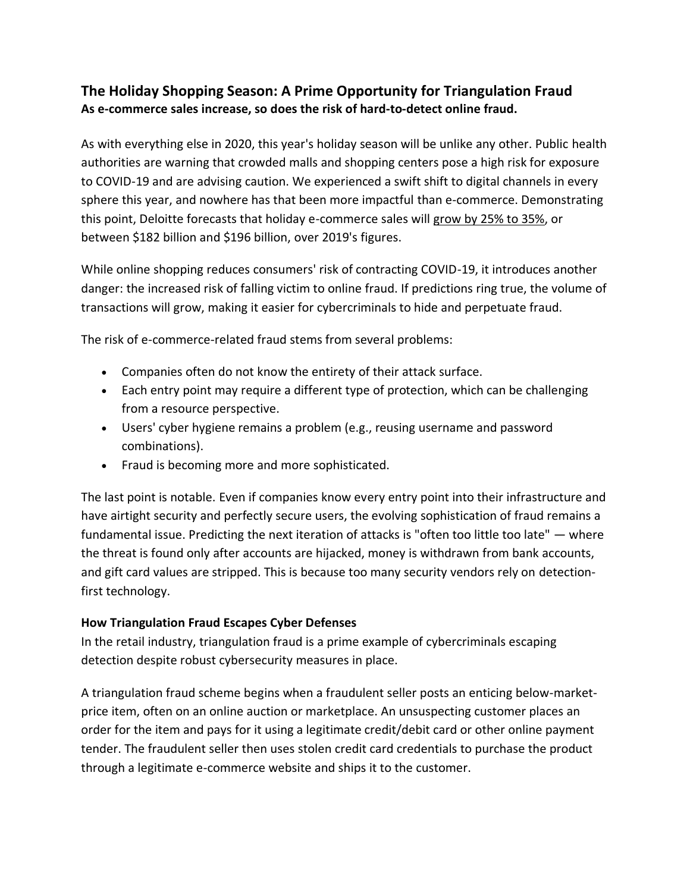## **The Holiday Shopping Season: A Prime Opportunity for Triangulation Fraud As e-commerce sales increase, so does the risk of hard-to-detect online fraud.**

As with everything else in 2020, this year's holiday season will be unlike any other. Public health authorities are warning that crowded malls and shopping centers pose a high risk for exposure to COVID-19 and are advising caution. We experienced a swift shift to digital channels in every sphere this year, and nowhere has that been more impactful than e-commerce. Demonstrating this point, Deloitte forecasts that holiday e-commerce sales will [grow by 25% to 35%,](https://www2.deloitte.com/us/en/pages/about-deloitte/articles/press-releases/a-tale-of-two-holiday-seasons-as-a-k-shaped-recovery-model-emerges-consumer-spending-heavily-bifurcated.html) or between \$182 billion and \$196 billion, over 2019's figures.

While online shopping reduces consumers' risk of contracting COVID-19, it introduces another danger: the increased risk of falling victim to online fraud. If predictions ring true, the volume of transactions will grow, making it easier for cybercriminals to hide and perpetuate fraud.

The risk of e-commerce-related fraud stems from several problems:

- Companies often do not know the entirety of their attack surface.
- Each entry point may require a different type of protection, which can be challenging from a resource perspective.
- Users' cyber hygiene remains a problem (e.g., reusing username and password combinations).
- Fraud is becoming more and more sophisticated.

The last point is notable. Even if companies know every entry point into their infrastructure and have airtight security and perfectly secure users, the evolving sophistication of fraud remains a fundamental issue. Predicting the next iteration of attacks is "often too little too late" — where the threat is found only after accounts are hijacked, money is withdrawn from bank accounts, and gift card values are stripped. This is because too many security vendors rely on detectionfirst technology.

## **How Triangulation Fraud Escapes Cyber Defenses**

In the retail industry, triangulation fraud is a prime example of cybercriminals escaping detection despite robust cybersecurity measures in place.

A triangulation fraud scheme begins when a fraudulent seller posts an enticing below-marketprice item, often on an online auction or marketplace. An unsuspecting customer places an order for the item and pays for it using a legitimate credit/debit card or other online payment tender. The fraudulent seller then uses stolen credit card credentials to purchase the product through a legitimate e-commerce website and ships it to the customer.